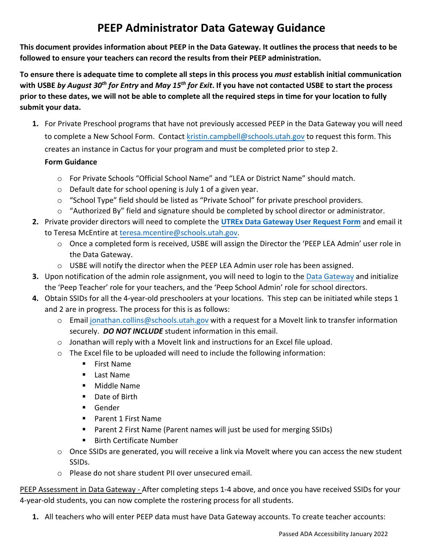## **PEEP Administrator Data Gateway Guidance**

 **This document provides information about PEEP in the Data Gateway. It outlines the process that needs to be followed to ensure your teachers can record the results from their PEEP administration.** 

 **with USBE** *by August 30th for Entry* **and** *May 15th for Exit***. If you have not contacted USBE to start the process To ensure there is adequate time to complete all steps in this process you** *must* **establish initial communication prior to these dates, we will not be able to complete all the required steps in time for your location to fully submit your data.** 

**1.** For Private Preschool programs that have not previously accessed PEEP in the Data Gateway you will need to complete a New School Form. Contact [kristin.campbell@schools.utah.gov](mailto:kristin.campbell@schools.utah.gov) to request this form. This creates an instance in Cactus for your program and must be completed prior to step 2.

## **Form Guidance**

- o For Private Schools "Official School Name" and "LEA or District Name" should match.
- o Default date for school opening is July 1 of a given year.
- $\circ$  "School Type" field should be listed as "Private School" for private preschool providers.
- o "Authorized By" field and signature should be completed by school director or administrator.
- **2.** Private provider directors will need to complete the **[UTREx Data Gateway User Request Form](https://docs.google.com/document/d/17uIHiyKWXJo2Y0E3t0KF0MWDJJjy-BL_QTxI_kGsDmQ/edit?usp=sharing)** and email it to Teresa McEntire at teresa.mcentire[@schools.utah.gov.](mailto:liz.williams@schools.utah.gov) 
	- o Once a completed form is received, USBE will assign the Director the 'PEEP LEA Admin' user role in the Data Gateway.
	- o USBE will notify the director when the PEEP LEA Admin user role has been assigned.
- **3.** Upon notification of the admin role assignment, you will need to login to the [Data Gateway](https://datagateway.schools.utah.gov/Login) and initialize the 'Peep Teacher' role for your teachers, and the 'Peep School Admin' role for school directors.
- **4.** Obtain SSIDs for all the 4-year-old preschoolers at your locations. This step can be initiated while steps 1 and 2 are in progress. The process for this is as follows:
	- o Email [jonathan.collins@schools.utah.gov](mailto:jonathan.collins@schools.utah.gov) with a request for a MoveIt link to transfer information securely. *DO NOT INCLUDE* student information in this email.
	- $\circ$  Jonathan will reply with a Movelt link and instructions for an Excel file upload.
	- o The Excel file to be uploaded will need to include the following information:
		- **First Name**
		- Last Name
		- Middle Name
		- Date of Birth
		- Gender
		- Parent 1 First Name
		- Parent 2 First Name (Parent names will just be used for merging SSIDs)
		- **Birth Certificate Number**
	- o Once SSIDs are generated, you will receive a link via MoveIt where you can access the new student SSIDs.
	- o Please do not share student PII over unsecured email.

PEEP Assessment in Data Gateway - After completing steps 1-4 above, and once you have received SSIDs for your 4-year-old students, you can now complete the rostering process for all students.

**1.** All teachers who will enter PEEP data must have Data Gateway accounts. To create teacher accounts: